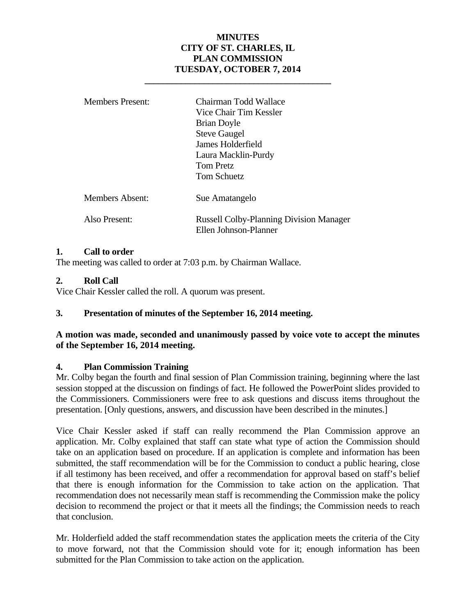# **MINUTES CITY OF ST. CHARLES, IL PLAN COMMISSION TUESDAY, OCTOBER 7, 2014**

| <b>Members Present:</b> | Chairman Todd Wallace<br>Vice Chair Tim Kessler<br><b>Brian Doyle</b><br><b>Steve Gaugel</b><br>James Holderfield<br>Laura Macklin-Purdy<br>Tom Pretz<br><b>Tom Schuetz</b> |
|-------------------------|-----------------------------------------------------------------------------------------------------------------------------------------------------------------------------|
| Members Absent:         | Sue Amatangelo                                                                                                                                                              |
| Also Present:           | <b>Russell Colby-Planning Division Manager</b><br>Ellen Johnson-Planner                                                                                                     |

 **\_\_\_\_\_\_\_\_\_\_\_\_\_\_\_\_\_\_\_\_\_\_\_\_\_\_\_\_\_\_\_\_\_\_\_\_\_\_\_\_\_** 

### **1. Call to order**

The meeting was called to order at 7:03 p.m. by Chairman Wallace.

### **2. Roll Call**

Vice Chair Kessler called the roll. A quorum was present.

### **3. Presentation of minutes of the September 16, 2014 meeting.**

### **A motion was made, seconded and unanimously passed by voice vote to accept the minutes of the September 16, 2014 meeting.**

#### **4. Plan Commission Training**

Mr. Colby began the fourth and final session of Plan Commission training, beginning where the last session stopped at the discussion on findings of fact. He followed the PowerPoint slides provided to the Commissioners. Commissioners were free to ask questions and discuss items throughout the presentation. [Only questions, answers, and discussion have been described in the minutes.]

Vice Chair Kessler asked if staff can really recommend the Plan Commission approve an application. Mr. Colby explained that staff can state what type of action the Commission should take on an application based on procedure. If an application is complete and information has been submitted, the staff recommendation will be for the Commission to conduct a public hearing, close if all testimony has been received, and offer a recommendation for approval based on staff's belief that there is enough information for the Commission to take action on the application. That recommendation does not necessarily mean staff is recommending the Commission make the policy decision to recommend the project or that it meets all the findings; the Commission needs to reach that conclusion.

Mr. Holderfield added the staff recommendation states the application meets the criteria of the City to move forward, not that the Commission should vote for it; enough information has been submitted for the Plan Commission to take action on the application.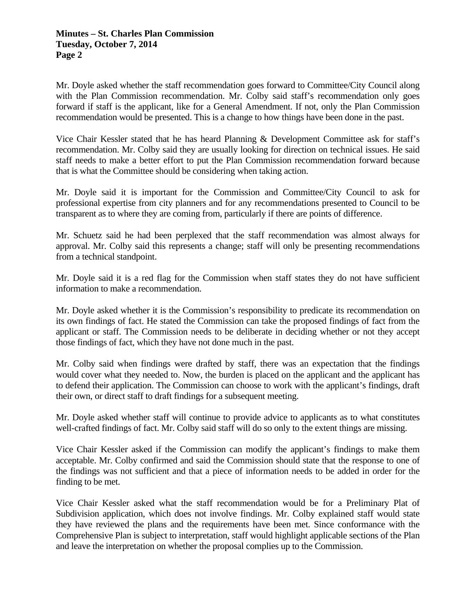Mr. Doyle asked whether the staff recommendation goes forward to Committee/City Council along with the Plan Commission recommendation. Mr. Colby said staff's recommendation only goes forward if staff is the applicant, like for a General Amendment. If not, only the Plan Commission recommendation would be presented. This is a change to how things have been done in the past.

Vice Chair Kessler stated that he has heard Planning & Development Committee ask for staff's recommendation. Mr. Colby said they are usually looking for direction on technical issues. He said staff needs to make a better effort to put the Plan Commission recommendation forward because that is what the Committee should be considering when taking action.

Mr. Doyle said it is important for the Commission and Committee/City Council to ask for professional expertise from city planners and for any recommendations presented to Council to be transparent as to where they are coming from, particularly if there are points of difference.

Mr. Schuetz said he had been perplexed that the staff recommendation was almost always for approval. Mr. Colby said this represents a change; staff will only be presenting recommendations from a technical standpoint.

Mr. Doyle said it is a red flag for the Commission when staff states they do not have sufficient information to make a recommendation.

Mr. Doyle asked whether it is the Commission's responsibility to predicate its recommendation on its own findings of fact. He stated the Commission can take the proposed findings of fact from the applicant or staff. The Commission needs to be deliberate in deciding whether or not they accept those findings of fact, which they have not done much in the past.

Mr. Colby said when findings were drafted by staff, there was an expectation that the findings would cover what they needed to. Now, the burden is placed on the applicant and the applicant has to defend their application. The Commission can choose to work with the applicant's findings, draft their own, or direct staff to draft findings for a subsequent meeting.

Mr. Doyle asked whether staff will continue to provide advice to applicants as to what constitutes well-crafted findings of fact. Mr. Colby said staff will do so only to the extent things are missing.

Vice Chair Kessler asked if the Commission can modify the applicant's findings to make them acceptable. Mr. Colby confirmed and said the Commission should state that the response to one of the findings was not sufficient and that a piece of information needs to be added in order for the finding to be met.

Vice Chair Kessler asked what the staff recommendation would be for a Preliminary Plat of Subdivision application, which does not involve findings. Mr. Colby explained staff would state they have reviewed the plans and the requirements have been met. Since conformance with the Comprehensive Plan is subject to interpretation, staff would highlight applicable sections of the Plan and leave the interpretation on whether the proposal complies up to the Commission.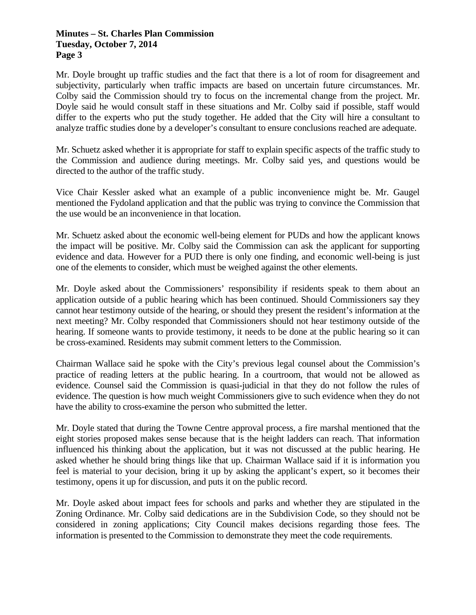### **Minutes – St. Charles Plan Commission Tuesday, October 7, 2014 Page 3**

Mr. Doyle brought up traffic studies and the fact that there is a lot of room for disagreement and subjectivity, particularly when traffic impacts are based on uncertain future circumstances. Mr. Colby said the Commission should try to focus on the incremental change from the project. Mr. Doyle said he would consult staff in these situations and Mr. Colby said if possible, staff would differ to the experts who put the study together. He added that the City will hire a consultant to analyze traffic studies done by a developer's consultant to ensure conclusions reached are adequate.

Mr. Schuetz asked whether it is appropriate for staff to explain specific aspects of the traffic study to the Commission and audience during meetings. Mr. Colby said yes, and questions would be directed to the author of the traffic study.

Vice Chair Kessler asked what an example of a public inconvenience might be. Mr. Gaugel mentioned the Fydoland application and that the public was trying to convince the Commission that the use would be an inconvenience in that location.

Mr. Schuetz asked about the economic well-being element for PUDs and how the applicant knows the impact will be positive. Mr. Colby said the Commission can ask the applicant for supporting evidence and data. However for a PUD there is only one finding, and economic well-being is just one of the elements to consider, which must be weighed against the other elements.

Mr. Doyle asked about the Commissioners' responsibility if residents speak to them about an application outside of a public hearing which has been continued. Should Commissioners say they cannot hear testimony outside of the hearing, or should they present the resident's information at the next meeting? Mr. Colby responded that Commissioners should not hear testimony outside of the hearing. If someone wants to provide testimony, it needs to be done at the public hearing so it can be cross-examined. Residents may submit comment letters to the Commission.

Chairman Wallace said he spoke with the City's previous legal counsel about the Commission's practice of reading letters at the public hearing. In a courtroom, that would not be allowed as evidence. Counsel said the Commission is quasi-judicial in that they do not follow the rules of evidence. The question is how much weight Commissioners give to such evidence when they do not have the ability to cross-examine the person who submitted the letter.

Mr. Doyle stated that during the Towne Centre approval process, a fire marshal mentioned that the eight stories proposed makes sense because that is the height ladders can reach. That information influenced his thinking about the application, but it was not discussed at the public hearing. He asked whether he should bring things like that up. Chairman Wallace said if it is information you feel is material to your decision, bring it up by asking the applicant's expert, so it becomes their testimony, opens it up for discussion, and puts it on the public record.

Mr. Doyle asked about impact fees for schools and parks and whether they are stipulated in the Zoning Ordinance. Mr. Colby said dedications are in the Subdivision Code, so they should not be considered in zoning applications; City Council makes decisions regarding those fees. The information is presented to the Commission to demonstrate they meet the code requirements.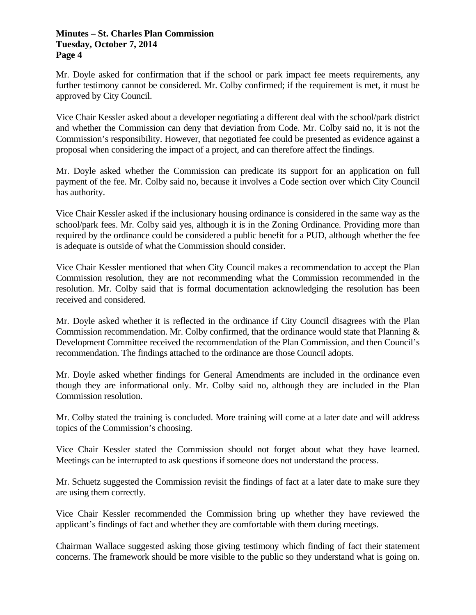#### **Minutes – St. Charles Plan Commission Tuesday, October 7, 2014 Page 4**

Mr. Doyle asked for confirmation that if the school or park impact fee meets requirements, any further testimony cannot be considered. Mr. Colby confirmed; if the requirement is met, it must be approved by City Council.

Vice Chair Kessler asked about a developer negotiating a different deal with the school/park district and whether the Commission can deny that deviation from Code. Mr. Colby said no, it is not the Commission's responsibility. However, that negotiated fee could be presented as evidence against a proposal when considering the impact of a project, and can therefore affect the findings.

Mr. Doyle asked whether the Commission can predicate its support for an application on full payment of the fee. Mr. Colby said no, because it involves a Code section over which City Council has authority.

Vice Chair Kessler asked if the inclusionary housing ordinance is considered in the same way as the school/park fees. Mr. Colby said yes, although it is in the Zoning Ordinance. Providing more than required by the ordinance could be considered a public benefit for a PUD, although whether the fee is adequate is outside of what the Commission should consider.

Vice Chair Kessler mentioned that when City Council makes a recommendation to accept the Plan Commission resolution, they are not recommending what the Commission recommended in the resolution. Mr. Colby said that is formal documentation acknowledging the resolution has been received and considered.

Mr. Doyle asked whether it is reflected in the ordinance if City Council disagrees with the Plan Commission recommendation. Mr. Colby confirmed, that the ordinance would state that Planning & Development Committee received the recommendation of the Plan Commission, and then Council's recommendation. The findings attached to the ordinance are those Council adopts.

Mr. Doyle asked whether findings for General Amendments are included in the ordinance even though they are informational only. Mr. Colby said no, although they are included in the Plan Commission resolution.

Mr. Colby stated the training is concluded. More training will come at a later date and will address topics of the Commission's choosing.

Vice Chair Kessler stated the Commission should not forget about what they have learned. Meetings can be interrupted to ask questions if someone does not understand the process.

Mr. Schuetz suggested the Commission revisit the findings of fact at a later date to make sure they are using them correctly.

Vice Chair Kessler recommended the Commission bring up whether they have reviewed the applicant's findings of fact and whether they are comfortable with them during meetings.

Chairman Wallace suggested asking those giving testimony which finding of fact their statement concerns. The framework should be more visible to the public so they understand what is going on.